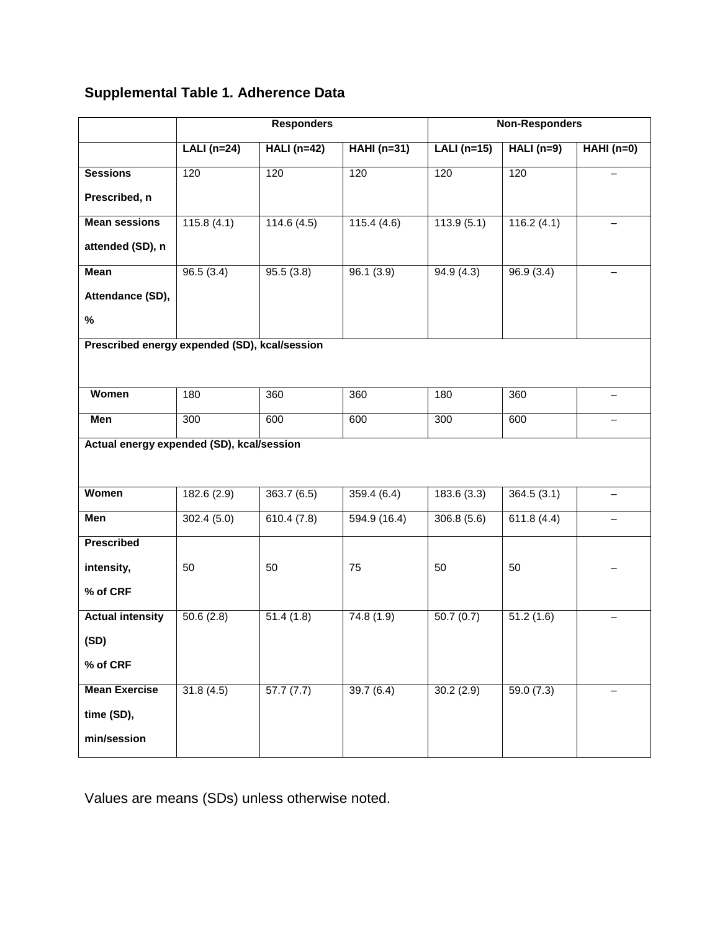## **Supplemental Table 1. Adherence Data**

|                                               | <b>Responders</b> |              |                    | <b>Non-Responders</b> |             |             |  |  |  |
|-----------------------------------------------|-------------------|--------------|--------------------|-----------------------|-------------|-------------|--|--|--|
|                                               | $LALI(n=24)$      | $HALI(n=42)$ | <b>HAHI</b> (n=31) | $LALI(n=15)$          | $HALI(n=9)$ | $HAHI(n=0)$ |  |  |  |
| <b>Sessions</b>                               | 120               | 120          | 120                | 120                   | 120         |             |  |  |  |
| Prescribed, n                                 |                   |              |                    |                       |             |             |  |  |  |
| <b>Mean sessions</b>                          | 115.8(4.1)        | 114.6(4.5)   | 115.4(4.6)         | 113.9(5.1)            | 116.2(4.1)  |             |  |  |  |
| attended (SD), n                              |                   |              |                    |                       |             |             |  |  |  |
| <b>Mean</b>                                   | 96.5(3.4)         | 95.5(3.8)    | 96.1(3.9)          | 94.9(4.3)             | 96.9(3.4)   |             |  |  |  |
| Attendance (SD),                              |                   |              |                    |                       |             |             |  |  |  |
| $\%$                                          |                   |              |                    |                       |             |             |  |  |  |
| Prescribed energy expended (SD), kcal/session |                   |              |                    |                       |             |             |  |  |  |
|                                               |                   |              |                    |                       |             |             |  |  |  |
| Women                                         | 180               | 360          | 360                | 180                   | 360         |             |  |  |  |
| Men                                           | 300               | 600          | 600                | 300                   | 600         |             |  |  |  |
| Actual energy expended (SD), kcal/session     |                   |              |                    |                       |             |             |  |  |  |
|                                               |                   |              |                    |                       |             |             |  |  |  |
| Women                                         | 182.6 (2.9)       | 363.7 (6.5)  | 359.4(6.4)         | 183.6 (3.3)           | 364.5(3.1)  |             |  |  |  |
| Men                                           | 302.4(5.0)        | 610.4(7.8)   | 594.9(16.4)        | 306.8(5.6)            | 611.8(4.4)  |             |  |  |  |
| <b>Prescribed</b>                             |                   |              |                    |                       |             |             |  |  |  |
| intensity,                                    | 50                | 50           | 75                 | 50                    | 50          |             |  |  |  |
| % of CRF                                      |                   |              |                    |                       |             |             |  |  |  |
| <b>Actual intensity</b>                       | 50.6(2.8)         | 51.4(1.8)    | 74.8 (1.9)         | 50.7(0.7)             | 51.2(1.6)   |             |  |  |  |
| (SD)                                          |                   |              |                    |                       |             |             |  |  |  |
| % of CRF                                      |                   |              |                    |                       |             |             |  |  |  |
| <b>Mean Exercise</b>                          | 31.8(4.5)         | 57.7(7.7)    | 39.7(6.4)          | 30.2(2.9)             | 59.0(7.3)   |             |  |  |  |
| time (SD),                                    |                   |              |                    |                       |             |             |  |  |  |
| min/session                                   |                   |              |                    |                       |             |             |  |  |  |

Values are means (SDs) unless otherwise noted.